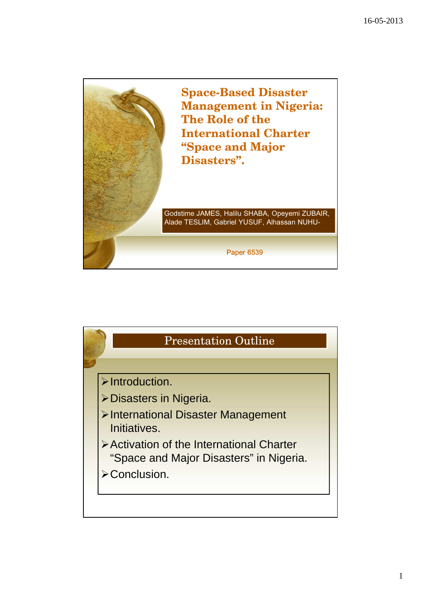

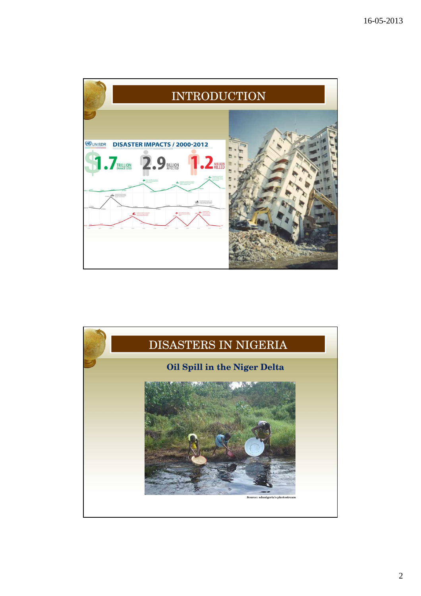

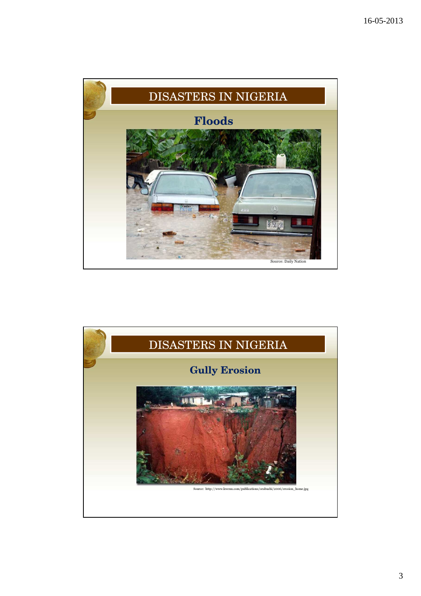

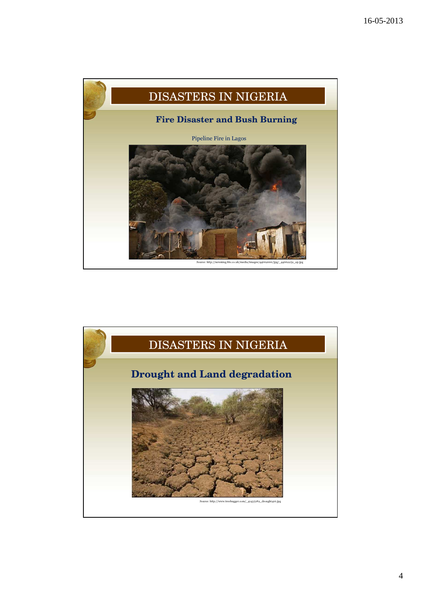

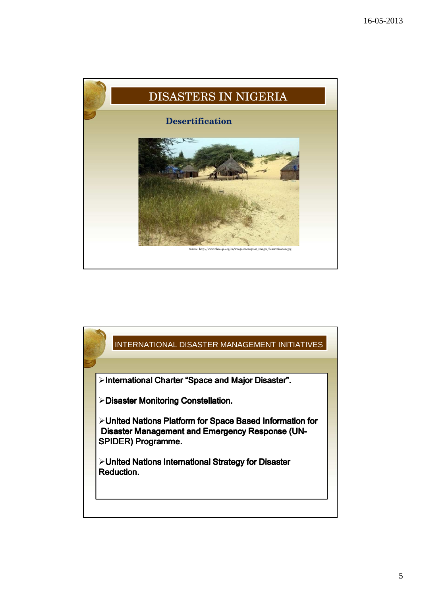

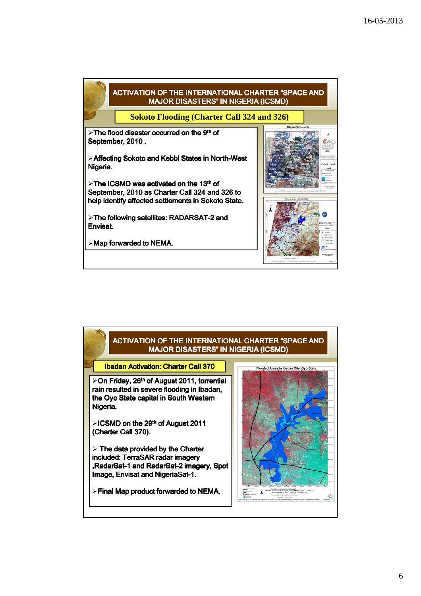



## 6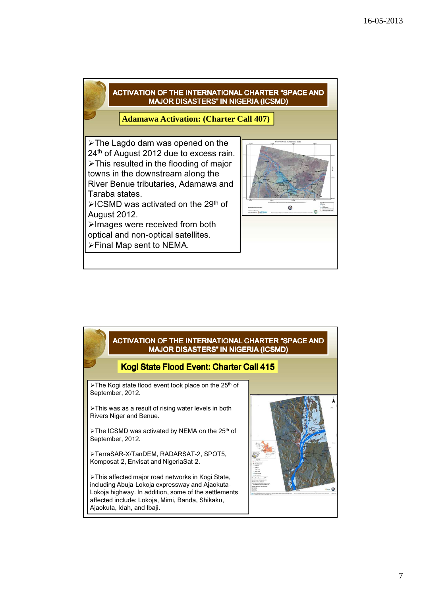

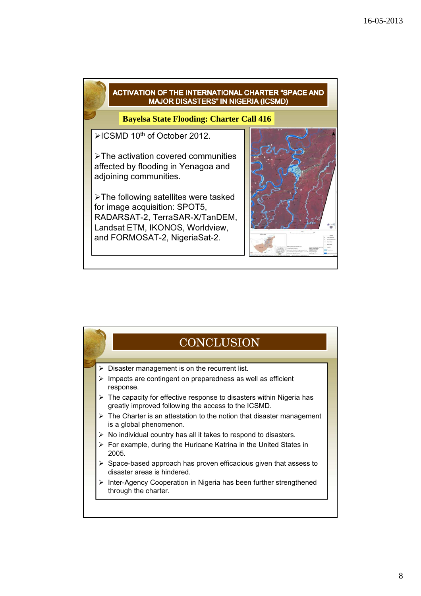



8